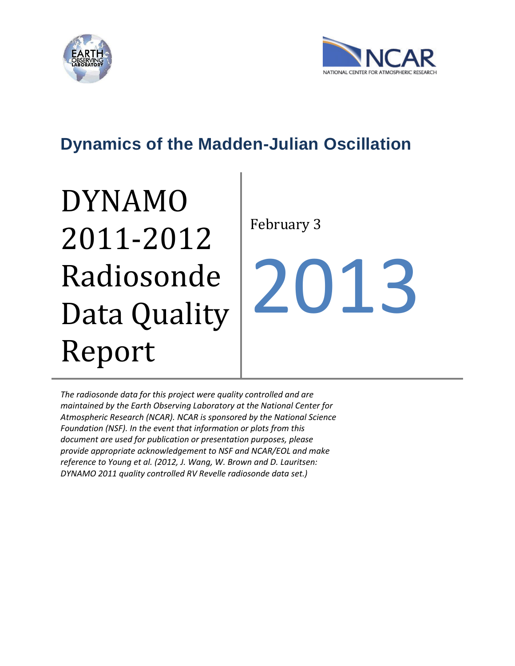



# **Dynamics of the Madden-Julian Oscillation**

# DYNAMO 2011-2012 Radiosonde Data Quality Report

February 3

2013

*The radiosonde data for this project were quality controlled and are maintained by the Earth Observing Laboratory at the National Center for Atmospheric Research (NCAR). NCAR is sponsored by the National Science Foundation (NSF). In the event that information or plots from this document are used for publication or presentation purposes, please provide appropriate acknowledgement to NSF and NCAR/EOL and make reference to Young et al. (2012, J. Wang, W. Brown and D. Lauritsen: DYNAMO 2011 quality controlled RV Revelle radiosonde data set.)*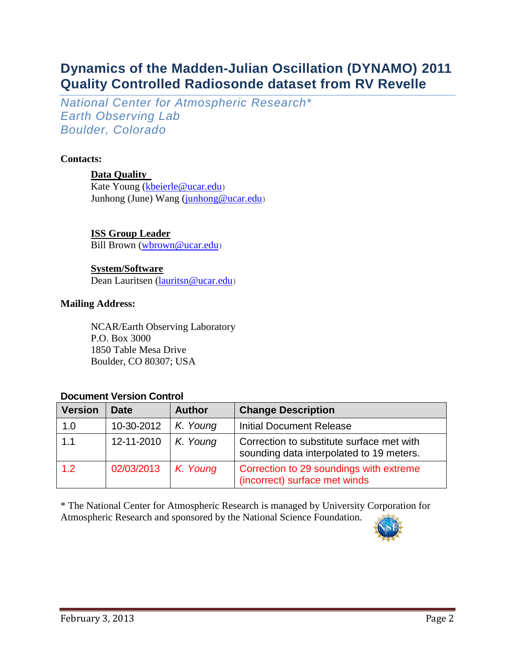# **Dynamics of the Madden-Julian Oscillation (DYNAMO) 2011 Quality Controlled Radiosonde dataset from RV Revelle**

*National Center for Atmospheric Research\* Earth Observing Lab Boulder, Colorado*

# **Contacts:**

# **Data Quality**

Kate Young [\(kbeierle@ucar.edu](mailto:kbeierle@ucar.edu)) Junhong (June) Wang [\(junhong@ucar.edu](mailto:junhong@ucar.edu))

# **ISS Group Leader**

Bill Brown [\(wbrown@ucar.edu](file:///C:/Users/kbeierle/AppData/Roaming/Documents%20and%20Settings/junhong.CIT/Users/kbeierle/AppData/Documents%20and%20Settings/kbeierle/Documents%20and%20Settings/junhong.CIT/Local%20Settings/Temp/wbrown@ucar.edu))

# **System/Software**

Dean Lauritsen [\(lauritsn@ucar.edu](file:///C:/Users/kbeierle/AppData/Roaming/Documents%20and%20Settings/junhong.CIT/Users/kbeierle/AppData/Documents%20and%20Settings/kbeierle/Documents%20and%20Settings/junhong.CIT/Documents%20and%20Settings/kbeierle/Local%20Settings/Documents%20and%20Settings/kbeierle.CIT/Application%20Data/Documents%20and%20Settings/kbeierle.CIT/Documents%20and%20Settings/junhong.CIT/Documents%20and%20Settings/kbeierle/Documents%20and%20Settings/junhong/Documents%20and%20Settings/junhong.CIT/Documents%20and%20Settings/kbeierle/Local%20Settings/Temp/lauritsn@ucar.edu))

### **Mailing Address:**

NCAR/Earth Observing Laboratory P.O. Box 3000 1850 Table Mesa Drive Boulder, CO 80307; USA

# **Document Version Control**

| <b>Version</b> | <b>Date</b> | <b>Author</b> | <b>Change Description</b>                                                             |
|----------------|-------------|---------------|---------------------------------------------------------------------------------------|
| 1.0            | 10-30-2012  | K. Young      | <b>Initial Document Release</b>                                                       |
| 1.1            | 12-11-2010  | K. Young      | Correction to substitute surface met with<br>sounding data interpolated to 19 meters. |
| 1.2            | 02/03/2013  | K. Young      | Correction to 29 soundings with extreme<br>(incorrect) surface met winds              |

\* The National Center for Atmospheric Research is managed by University Corporation for Atmospheric Research and sponsored by the National Science Foundation.

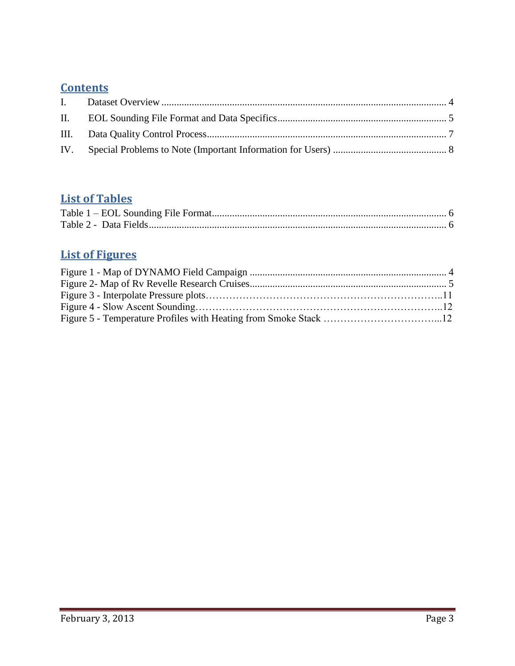# **Contents**

# **List of Tables**

# **List of Figures**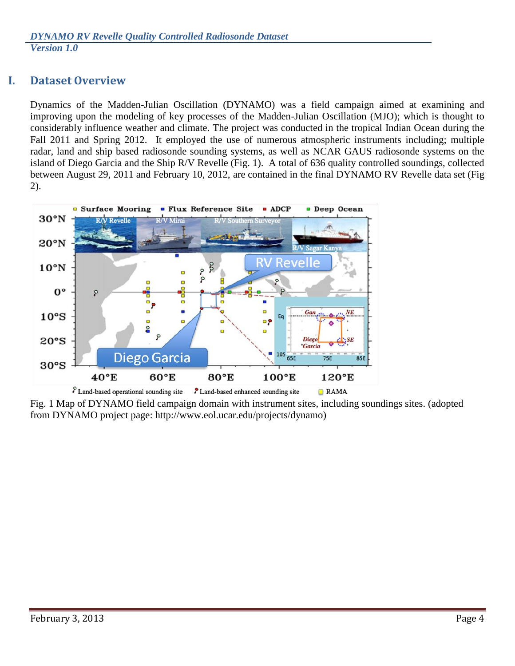# <span id="page-3-0"></span>**I. Dataset Overview**

Dynamics of the Madden-Julian Oscillation (DYNAMO) was a field campaign aimed at examining and improving upon the modeling of key processes of the Madden-Julian Oscillation (MJO); which is thought to considerably influence weather and climate. The project was conducted in the tropical Indian Ocean during the Fall 2011 and Spring 2012. It employed the use of numerous atmospheric instruments including; multiple radar, land and ship based radiosonde sounding systems, as well as NCAR GAUS radiosonde systems on the island of Diego Garcia and the Ship R/V Revelle (Fig. 1). A total of 636 quality controlled soundings, collected between August 29, 2011 and February 10, 2012, are contained in the final DYNAMO RV Revelle data set (Fig 2).



Fig. 1 Map of DYNAMO field campaign domain with instrument sites, including soundings sites. (adopted from DYNAMO project page: http://www.eol.ucar.edu/projects/dynamo)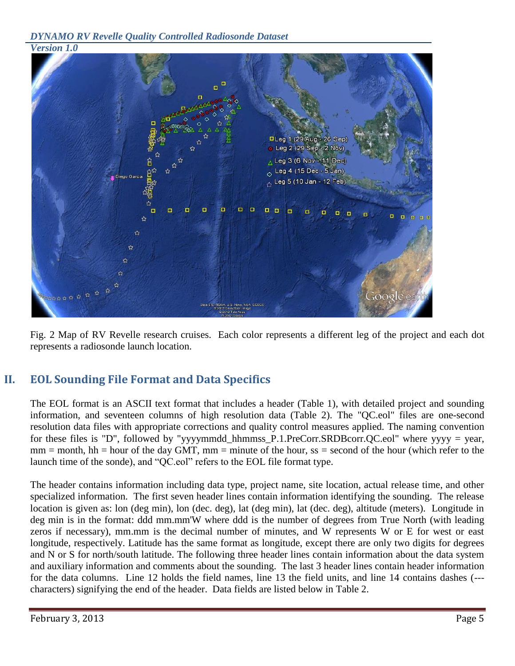*DYNAMO RV Revelle Quality Controlled Radiosonde Dataset* 



<span id="page-4-0"></span>Fig. 2 Map of RV Revelle research cruises. Each color represents a different leg of the project and each dot represents a radiosonde launch location.

# **II. EOL Sounding File Format and Data Specifics**

The EOL format is an ASCII text format that includes a header (Table 1), with detailed project and sounding information, and seventeen columns of high resolution data (Table 2). The "QC.eol" files are one-second resolution data files with appropriate corrections and quality control measures applied. The naming convention for these files is "D", followed by "yyyymmdd\_hhmmss\_P.1.PreCorr.SRDBcorr.QC.eol" where yyyy = year,  $mm = month$ ,  $hh = hour$  of the day GMT,  $mm = minute$  of the hour, ss = second of the hour (which refer to the launch time of the sonde), and "QC.eol" refers to the EOL file format type.

The header contains information including data type, project name, site location, actual release time, and other specialized information. The first seven header lines contain information identifying the sounding. The release location is given as: lon (deg min), lon (dec. deg), lat (deg min), lat (dec. deg), altitude (meters). Longitude in deg min is in the format: ddd mm.mm'W where ddd is the number of degrees from True North (with leading zeros if necessary), mm.mm is the decimal number of minutes, and W represents W or E for west or east longitude, respectively. Latitude has the same format as longitude, except there are only two digits for degrees and N or S for north/south latitude. The following three header lines contain information about the data system and auxiliary information and comments about the sounding. The last 3 header lines contain header information for the data columns. Line 12 holds the field names, line 13 the field units, and line 14 contains dashes (-- characters) signifying the end of the header. Data fields are listed below in Table 2.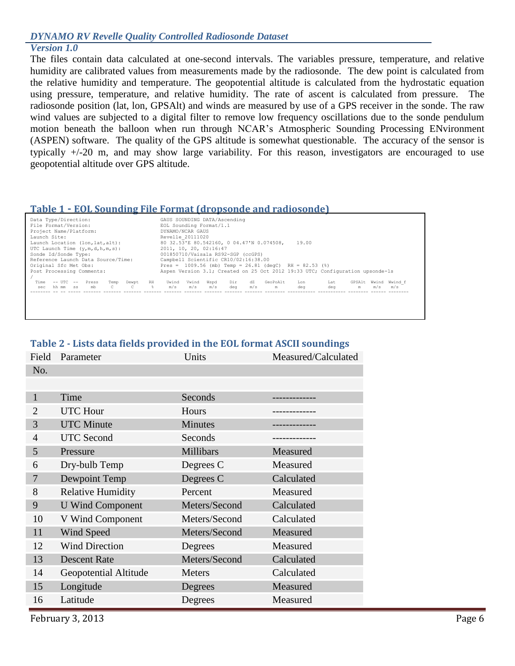#### *DYNAMO RV Revelle Quality Controlled Radiosonde Dataset*

#### *Version 1.0*

The files contain data calculated at one-second intervals. The variables pressure, temperature, and relative humidity are calibrated values from measurements made by the radiosonde. The dew point is calculated from the relative humidity and temperature. The geopotential altitude is calculated from the hydrostatic equation using pressure, temperature, and relative humidity. The rate of ascent is calculated from pressure. The radiosonde position (lat, lon, GPSAlt) and winds are measured by use of a GPS receiver in the sonde. The raw wind values are subjected to a digital filter to remove low frequency oscillations due to the sonde pendulum motion beneath the balloon when run through NCAR's Atmospheric Sounding Processing ENvironment (ASPEN) software. The quality of the GPS altitude is somewhat questionable. The accuracy of the sensor is typically +/-20 m, and may show large variability. For this reason, investigators are encouraged to use geopotential altitude over GPS altitude.

#### <span id="page-5-0"></span>**Table 1 - EOL Sounding File Format (dropsonde and radiosonde)**

| Data Type/Direction:<br>File Format/Version:<br>Project Name/Platform: | GAUS SOUNDING DATA/Ascending<br>EOL Sounding Format/1.1<br>DYNAMO/NCAR GAUS                 |  |  |  |
|------------------------------------------------------------------------|---------------------------------------------------------------------------------------------|--|--|--|
| Launch Site:                                                           | Revelle 20111020                                                                            |  |  |  |
| Launch Location (lon, lat, alt):                                       | 80 32.53'E 80.542160, 0 04.47'N 0.074508,<br>19.00                                          |  |  |  |
| UTC Launch Time $(y,m,d,h,m,s)$ :                                      | 2011, 10, 20, 02:16:47                                                                      |  |  |  |
| Sonde Id/Sonde Type:                                                   | 001850710/Vaisala RS92-SGP (ccGPS)                                                          |  |  |  |
| Reference Launch Data Source/Time:                                     | Campbell Scientific CR10/02:16:38.00                                                        |  |  |  |
| Original Sfc Met Obs:                                                  | Pres = $1009.56$ (mb) Temp = $26.81$ (degC) RH = $82.53$ (%)                                |  |  |  |
| Post Processing Comments:                                              | Aspen Version 3.1; Created on 25 Oct 2012 19:33 UTC; Configuration upsonde-1s               |  |  |  |
|                                                                        |                                                                                             |  |  |  |
| $--$ UTC $--$<br>Time<br>RH<br>Press<br>Temp<br>Dewpt                  | GeoPoAlt<br>Wwind f<br>Uwind<br>Vwind<br>Dir<br>dZ<br>GPSAlt<br>Wwind<br>Wspd<br>Lon<br>Lat |  |  |  |
| $\frac{a}{b}$<br>hh mm ss<br>C.<br>$\mathbb{C}$<br>mb<br>sec           | m/s<br>m/s<br>deg<br>m/s<br>m/s<br>m/s<br>dea<br>m/s<br>deg<br>m<br>m                       |  |  |  |
|                                                                        |                                                                                             |  |  |  |
|                                                                        |                                                                                             |  |  |  |
|                                                                        |                                                                                             |  |  |  |

### **Table 2 - Lists data fields provided in the EOL format ASCII soundings**

| Field        | Parameter                | Units          | Measured/Calculated |
|--------------|--------------------------|----------------|---------------------|
| No.          |                          |                |                     |
|              |                          |                |                     |
| $\mathbf{1}$ | Time                     | Seconds        | ----------          |
| 2            | <b>UTC</b> Hour          | Hours          |                     |
| 3            | <b>UTC</b> Minute        | <b>Minutes</b> |                     |
| 4            | <b>UTC</b> Second        | Seconds        |                     |
| 5            | Pressure                 | Millibars      | Measured            |
| 6            | Dry-bulb Temp            | Degrees C      | Measured            |
| 7            | Dewpoint Temp            | Degrees C      | Calculated          |
| 8            | <b>Relative Humidity</b> | Percent        | Measured            |
| 9            | <b>U</b> Wind Component  | Meters/Second  | Calculated          |
| 10           | V Wind Component         | Meters/Second  | Calculated          |
| 11           | Wind Speed               | Meters/Second  | Measured            |
| 12           | <b>Wind Direction</b>    | Degrees        | Measured            |
| 13           | <b>Descent Rate</b>      | Meters/Second  | Calculated          |
| 14           | Geopotential Altitude    | <b>Meters</b>  | Calculated          |
| 15           | Longitude                | Degrees        | Measured            |
| 16           | Latitude                 | Degrees        | Measured            |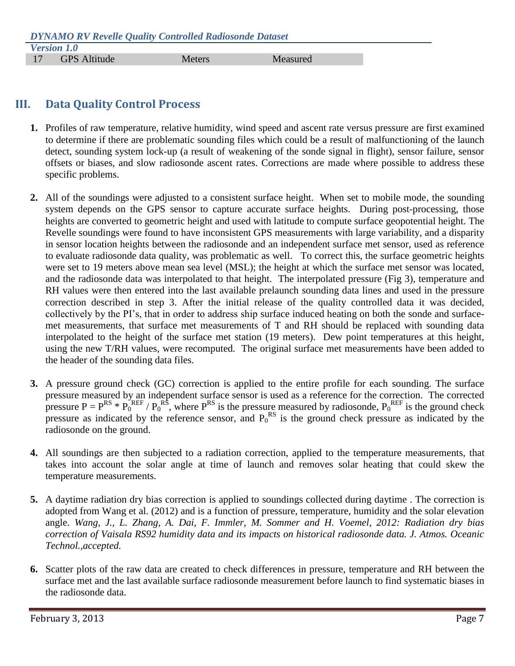# <span id="page-6-0"></span>**III. Data Quality Control Process**

- **1.** Profiles of raw temperature, relative humidity, wind speed and ascent rate versus pressure are first examined to determine if there are problematic sounding files which could be a result of malfunctioning of the launch detect, sounding system lock-up (a result of weakening of the sonde signal in flight), sensor failure, sensor offsets or biases, and slow radiosonde ascent rates. Corrections are made where possible to address these specific problems.
- **2.** All of the soundings were adjusted to a consistent surface height. When set to mobile mode, the sounding system depends on the GPS sensor to capture accurate surface heights. During post-processing, those heights are converted to geometric height and used with latitude to compute surface geopotential height. The Revelle soundings were found to have inconsistent GPS measurements with large variability, and a disparity in sensor location heights between the radiosonde and an independent surface met sensor, used as reference to evaluate radiosonde data quality, was problematic as well. To correct this, the surface geometric heights were set to 19 meters above mean sea level (MSL); the height at which the surface met sensor was located, and the radiosonde data was interpolated to that height. The interpolated pressure (Fig 3), temperature and RH values were then entered into the last available prelaunch sounding data lines and used in the pressure correction described in step 3. After the initial release of the quality controlled data it was decided, collectively by the PI's, that in order to address ship surface induced heating on both the sonde and surfacemet measurements, that surface met measurements of T and RH should be replaced with sounding data interpolated to the height of the surface met station (19 meters). Dew point temperatures at this height, using the new T/RH values, were recomputed. The original surface met measurements have been added to the header of the sounding data files.
- **3.** A pressure ground check (GC) correction is applied to the entire profile for each sounding. The surface pressure measured by an independent surface sensor is used as a reference for the correction. The corrected pressure  $P = P^{RS} * P_0^{REF} / P_0^{RS}$ , where  $P^{RS}$  is the pressure measured by radiosonde,  $P_0^{REF}$  is the ground check pressure as indicated by the reference sensor, and  $P_0^{RS}$  is the ground check pressure as indicated by the radiosonde on the ground.
- **4.** All soundings are then subjected to a radiation correction, applied to the temperature measurements, that takes into account the solar angle at time of launch and removes solar heating that could skew the temperature measurements.
- **5.** A daytime radiation dry bias correction is applied to soundings collected during daytime . The correction is adopted from Wang et al. (2012) and is a function of pressure, temperature, humidity and the solar elevation angle. *Wang, J., L. Zhang, A. Dai, F. Immler, M. Sommer and H. Voemel, 2012: Radiation dry bias correction of Vaisala RS92 humidity data and its impacts on historical radiosonde data. J. Atmos. Oceanic Technol.,accepted.*
- **6.** Scatter plots of the raw data are created to check differences in pressure, temperature and RH between the surface met and the last available surface radiosonde measurement before launch to find systematic biases in the radiosonde data.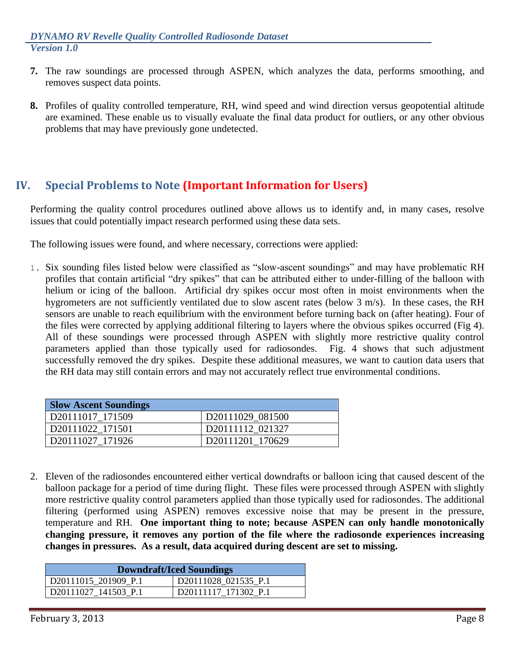- **7.** The raw soundings are processed through ASPEN, which analyzes the data, performs smoothing, and removes suspect data points.
- **8.** Profiles of quality controlled temperature, RH, wind speed and wind direction versus geopotential altitude are examined. These enable us to visually evaluate the final data product for outliers, or any other obvious problems that may have previously gone undetected.

# <span id="page-7-0"></span>**IV. Special Problems to Note (Important Information for Users)**

Performing the quality control procedures outlined above allows us to identify and, in many cases, resolve issues that could potentially impact research performed using these data sets.

The following issues were found, and where necessary, corrections were applied:

1. Six sounding files listed below were classified as "slow-ascent soundings" and may have problematic RH profiles that contain artificial "dry spikes" that can be attributed either to under-filling of the balloon with helium or icing of the balloon. Artificial dry spikes occur most often in moist environments when the hygrometers are not sufficiently ventilated due to slow ascent rates (below 3 m/s). In these cases, the RH sensors are unable to reach equilibrium with the environment before turning back on (after heating). Four of the files were corrected by applying additional filtering to layers where the obvious spikes occurred (Fig 4). All of these soundings were processed through ASPEN with slightly more restrictive quality control parameters applied than those typically used for radiosondes. Fig. 4 shows that such adjustment successfully removed the dry spikes. Despite these additional measures, we want to caution data users that the RH data may still contain errors and may not accurately reflect true environmental conditions.

| <b>Slow Ascent Soundings</b> |                  |
|------------------------------|------------------|
| D20111017 171509             | D20111029 081500 |
| D20111022 171501             | D20111112 021327 |
| D20111027 171926             | D20111201_170629 |

2. Eleven of the radiosondes encountered either vertical downdrafts or balloon icing that caused descent of the balloon package for a period of time during flight. These files were processed through ASPEN with slightly more restrictive quality control parameters applied than those typically used for radiosondes. The additional filtering (performed using ASPEN) removes excessive noise that may be present in the pressure, temperature and RH. **One important thing to note; because ASPEN can only handle monotonically changing pressure, it removes any portion of the file where the radiosonde experiences increasing changes in pressures. As a result, data acquired during descent are set to missing.**

| <b>Downdraft/Iced Soundings</b> |                      |  |
|---------------------------------|----------------------|--|
| D20111015_201909 P.1            | D20111028 021535 P.1 |  |
| D20111027 141503 P.1            | D20111117 171302_P.1 |  |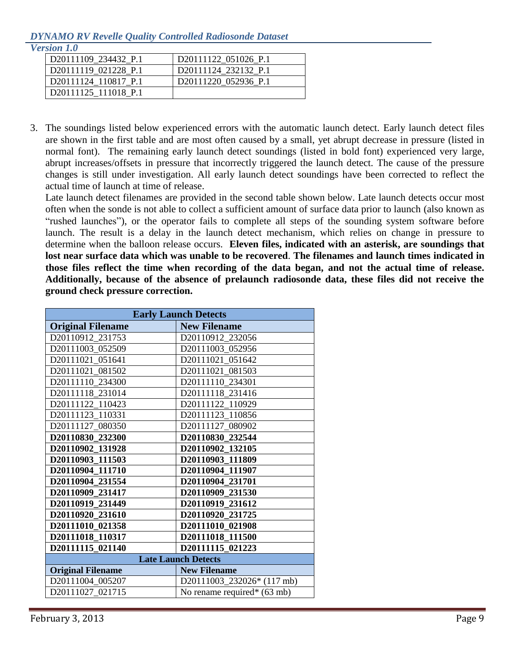#### *DYNAMO RV Revelle Quality Controlled Radiosonde Dataset Version 1.0*

| rsion 1.0            |                                  |
|----------------------|----------------------------------|
| D20111109 234432 P.1 | D20111122 051026 P.1             |
| D20111119 021228 P.1 | D20111124 232132 P.1             |
| D20111124 110817 P.1 | D <sub>20111220</sub> 052936 P.1 |
| D20111125 111018 P.1 |                                  |

3. The soundings listed below experienced errors with the automatic launch detect. Early launch detect files are shown in the first table and are most often caused by a small, yet abrupt decrease in pressure (listed in normal font). The remaining early launch detect soundings (listed in bold font) experienced very large, abrupt increases/offsets in pressure that incorrectly triggered the launch detect. The cause of the pressure changes is still under investigation. All early launch detect soundings have been corrected to reflect the actual time of launch at time of release.

Late launch detect filenames are provided in the second table shown below. Late launch detects occur most often when the sonde is not able to collect a sufficient amount of surface data prior to launch (also known as "rushed launches"), or the operator fails to complete all steps of the sounding system software before launch. The result is a delay in the launch detect mechanism, which relies on change in pressure to determine when the balloon release occurs. **Eleven files, indicated with an asterisk, are soundings that lost near surface data which was unable to be recovered**. **The filenames and launch times indicated in those files reflect the time when recording of the data began, and not the actual time of release. Additionally, because of the absence of prelaunch radiosonde data, these files did not receive the ground check pressure correction.**

| <b>Early Launch Detects</b> |                             |  |
|-----------------------------|-----------------------------|--|
| <b>Original Filename</b>    | <b>New Filename</b>         |  |
| D20110912_231753            | D20110912 232056            |  |
| D20111003 052509            | D20111003_052956            |  |
| D20111021_051641            | D20111021_051642            |  |
| D20111021 081502            | D20111021 081503            |  |
| D20111110 234300            | D20111110 234301            |  |
| D20111118 231014            | D20111118_231416            |  |
| D20111122 110423            | D20111122 110929            |  |
| D20111123_110331            | D20111123_110856            |  |
| D20111127 080350            | D20111127_080902            |  |
| D20110830 232300            | D20110830 232544            |  |
| D20110902 131928            | D20110902 132105            |  |
| D20110903 111503            | D20110903 111809            |  |
| D20110904 111710            | D20110904 111907            |  |
| D20110904 231554            | D20110904 231701            |  |
| D20110909 231417            | D20110909 231530            |  |
| D20110919 231449            | D20110919 231612            |  |
| D20110920 231610            | D20110920 231725            |  |
| D20111010_021358            | D20111010 021908            |  |
| D20111018 110317            | D20111018 111500            |  |
| D20111115_021140            | D20111115 021223            |  |
| <b>Late Launch Detects</b>  |                             |  |
| <b>Original Filename</b>    | <b>New Filename</b>         |  |
| D20111004_005207            | D20111003_232026* (117 mb)  |  |
| D20111027_021715            | No rename required* (63 mb) |  |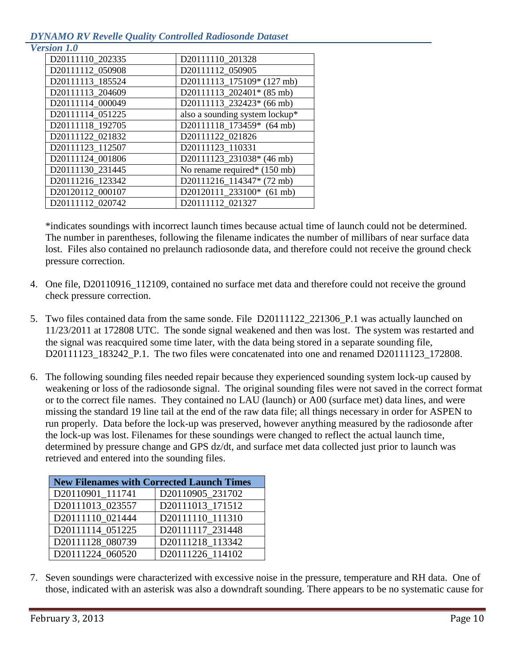### *DYNAMO RV Revelle Quality Controlled Radiosonde Dataset*

| <b>version 1.0</b> |  |
|--------------------|--|
|                    |  |

| D20111110 202335 | D20111110 201328               |
|------------------|--------------------------------|
| D20111112_050908 | D20111112_050905               |
| D20111113_185524 | D20111113_175109* (127 mb)     |
| D20111113_204609 | D20111113_202401* (85 mb)      |
| D20111114 000049 | D20111113_232423* (66 mb)      |
| D20111114 051225 | also a sounding system lockup* |
| D20111118_192705 | D20111118_173459* (64 mb)      |
| D20111122_021832 | D20111122_021826               |
| D20111123_112507 | D20111123_110331               |
| D20111124_001806 | D20111123_231038* (46 mb)      |
| D20111130 231445 | No rename required* (150 mb)   |
| D20111216_123342 | D20111216_114347* (72 mb)      |
| D20120112_000107 | D20120111_233100* (61 mb)      |
| D20111112_020742 | D20111112_021327               |
|                  |                                |

\*indicates soundings with incorrect launch times because actual time of launch could not be determined. The number in parentheses, following the filename indicates the number of millibars of near surface data lost. Files also contained no prelaunch radiosonde data, and therefore could not receive the ground check pressure correction.

- 4. One file, D20110916\_112109, contained no surface met data and therefore could not receive the ground check pressure correction.
- 5. Two files contained data from the same sonde. File D20111122\_221306\_P.1 was actually launched on 11/23/2011 at 172808 UTC. The sonde signal weakened and then was lost. The system was restarted and the signal was reacquired some time later, with the data being stored in a separate sounding file, D20111123 183242 P.1. The two files were concatenated into one and renamed D20111123 172808.
- 6. The following sounding files needed repair because they experienced sounding system lock-up caused by weakening or loss of the radiosonde signal. The original sounding files were not saved in the correct format or to the correct file names. They contained no LAU (launch) or A00 (surface met) data lines, and were missing the standard 19 line tail at the end of the raw data file; all things necessary in order for ASPEN to run properly. Data before the lock-up was preserved, however anything measured by the radiosonde after the lock-up was lost. Filenames for these soundings were changed to reflect the actual launch time, determined by pressure change and GPS dz/dt, and surface met data collected just prior to launch was retrieved and entered into the sounding files.

| <b>New Filenames with Corrected Launch Times</b> |                  |  |
|--------------------------------------------------|------------------|--|
| D20110901_111741                                 | D20110905_231702 |  |
| D20111013_023557                                 | D20111013_171512 |  |
| D20111110_021444                                 | D20111110 111310 |  |
| D20111114 051225                                 | D20111117 231448 |  |
| D20111128 080739                                 | D20111218 113342 |  |
| D20111224 060520                                 | D20111226 114102 |  |

7. Seven soundings were characterized with excessive noise in the pressure, temperature and RH data. One of those, indicated with an asterisk was also a downdraft sounding. There appears to be no systematic cause for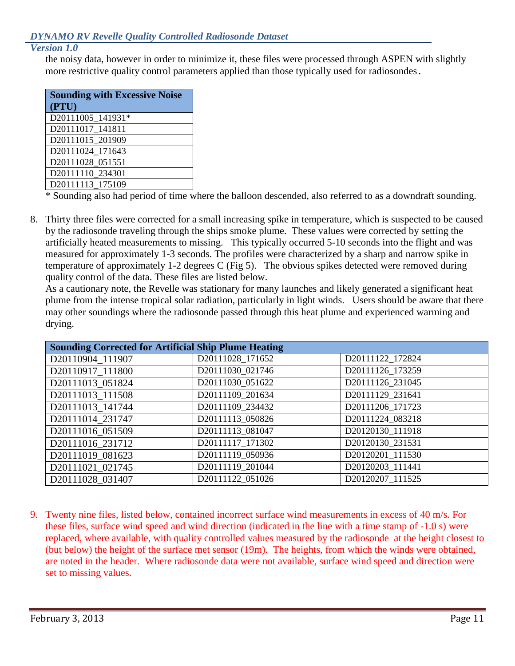### *Version 1.0*

the noisy data, however in order to minimize it, these files were processed through ASPEN with slightly more restrictive quality control parameters applied than those typically used for radiosondes.

| <b>Sounding with Excessive Noise</b> |  |  |
|--------------------------------------|--|--|
| (PTU)                                |  |  |
| D20111005 141931*                    |  |  |
| D20111017_141811                     |  |  |
| D20111015_201909                     |  |  |
| D20111024_171643                     |  |  |
| D20111028 051551                     |  |  |
| D20111110_234301                     |  |  |
| D20111113 175109                     |  |  |

\* Sounding also had period of time where the balloon descended, also referred to as a downdraft sounding.

8. Thirty three files were corrected for a small increasing spike in temperature, which is suspected to be caused by the radiosonde traveling through the ships smoke plume. These values were corrected by setting the artificially heated measurements to missing. This typically occurred 5-10 seconds into the flight and was measured for approximately 1-3 seconds. The profiles were characterized by a sharp and narrow spike in temperature of approximately 1-2 degrees C (Fig 5). The obvious spikes detected were removed during quality control of the data. These files are listed below.

As a cautionary note, the Revelle was stationary for many launches and likely generated a significant heat plume from the intense tropical solar radiation, particularly in light winds. Users should be aware that there may other soundings where the radiosonde passed through this heat plume and experienced warming and drying.

| <b>Sounding Corrected for Artificial Ship Plume Heating</b> |                  |                  |  |  |
|-------------------------------------------------------------|------------------|------------------|--|--|
| D20110904 111907                                            | D20111028_171652 | D20111122_172824 |  |  |
| D20110917 111800                                            | D20111030_021746 | D20111126 173259 |  |  |
| D20111013 051824                                            | D20111030_051622 | D20111126 231045 |  |  |
| D20111013_111508                                            | D20111109_201634 | D20111129 231641 |  |  |
| D20111013 141744                                            | D20111109 234432 | D20111206_171723 |  |  |
| D20111014 231747                                            | D20111113 050826 | D20111224 083218 |  |  |
| D20111016 051509                                            | D20111113 081047 | D20120130 111918 |  |  |
| D20111016 231712                                            | D20111117 171302 | D20120130 231531 |  |  |
| D20111019_081623                                            | D20111119 050936 | D20120201 111530 |  |  |
| D20111021_021745                                            | D20111119 201044 | D20120203 111441 |  |  |
| D20111028 031407                                            | D20111122 051026 | D20120207 111525 |  |  |

9. Twenty nine files, listed below, contained incorrect surface wind measurements in excess of 40 m/s. For these files, surface wind speed and wind direction (indicated in the line with a time stamp of -1.0 s) were replaced, where available, with quality controlled values measured by the radiosonde at the height closest to (but below) the height of the surface met sensor (19m). The heights, from which the winds were obtained, are noted in the header. Where radiosonde data were not available, surface wind speed and direction were set to missing values.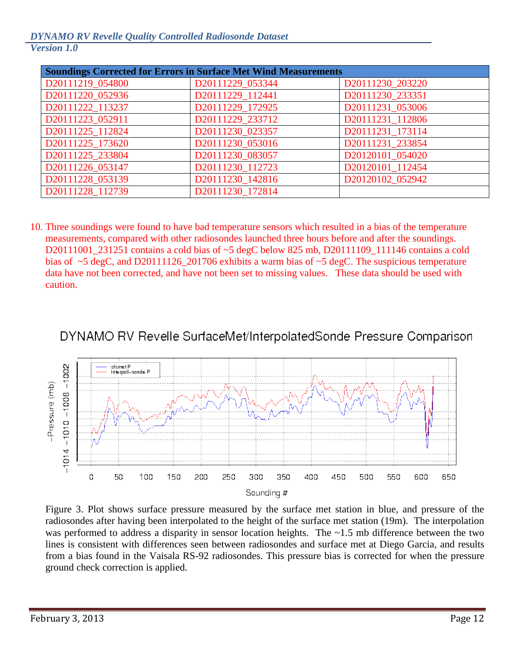| <b>Soundings Corrected for Errors in Surface Met Wind Measurements</b> |                  |                  |  |
|------------------------------------------------------------------------|------------------|------------------|--|
| D20111219_054800                                                       | D20111229_053344 | D20111230_203220 |  |
| D20111220_052936                                                       | D20111229 112441 | D20111230 233351 |  |
| D20111222 113237                                                       | D20111229 172925 | D20111231 053006 |  |
| D20111223_052911                                                       | D20111229 233712 | D20111231 112806 |  |
| D20111225_112824                                                       | D20111230 023357 | D20111231 173114 |  |
| D20111225 173620                                                       | D20111230 053016 | D20111231 233854 |  |
| D20111225_233804                                                       | D20111230 083057 | D20120101 054020 |  |
| D20111226_053147                                                       | D20111230_112723 | D20120101 112454 |  |
| D20111228 053139                                                       | D20111230 142816 | D20120102 052942 |  |
| D20111228 112739                                                       | D20111230 172814 |                  |  |

10. Three soundings were found to have bad temperature sensors which resulted in a bias of the temperature measurements, compared with other radiosondes launched three hours before and after the soundings. D20111001\_231251 contains a cold bias of ~5 degC below 825 mb, D20111109\_111146 contains a cold bias of ~5 degC, and D20111126\_201706 exhibits a warm bias of ~5 degC. The suspicious temperature data have not been corrected, and have not been set to missing values. These data should be used with caution.





Figure 3. Plot shows surface pressure measured by the surface met station in blue, and pressure of the radiosondes after having been interpolated to the height of the surface met station (19m). The interpolation was performed to address a disparity in sensor location heights. The ~1.5 mb difference between the two lines is consistent with differences seen between radiosondes and surface met at Diego Garcia, and results from a bias found in the Vaisala RS-92 radiosondes. This pressure bias is corrected for when the pressure ground check correction is applied.